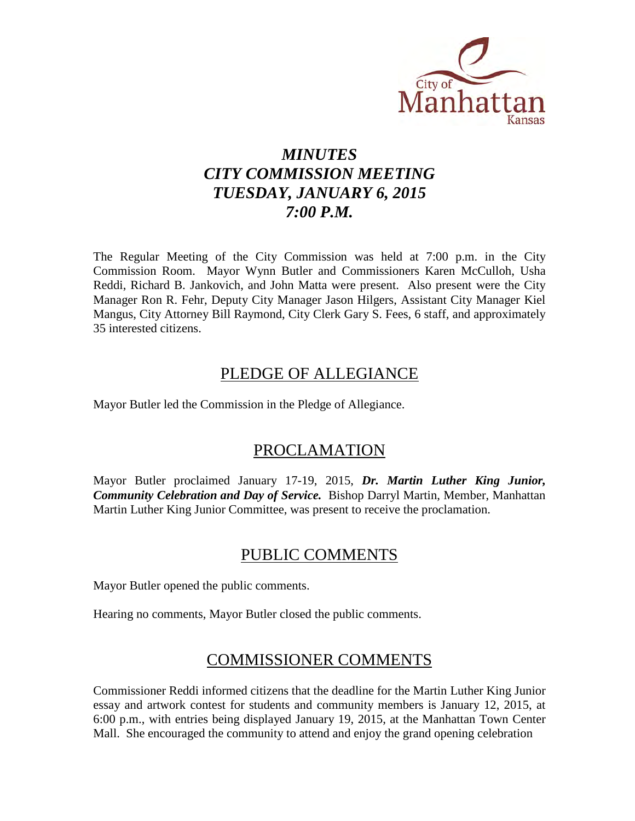

# *MINUTES CITY COMMISSION MEETING TUESDAY, JANUARY 6, 2015 7:00 P.M.*

The Regular Meeting of the City Commission was held at 7:00 p.m. in the City Commission Room. Mayor Wynn Butler and Commissioners Karen McCulloh, Usha Reddi, Richard B. Jankovich, and John Matta were present. Also present were the City Manager Ron R. Fehr, Deputy City Manager Jason Hilgers, Assistant City Manager Kiel Mangus, City Attorney Bill Raymond, City Clerk Gary S. Fees, 6 staff, and approximately 35 interested citizens.

# PLEDGE OF ALLEGIANCE

Mayor Butler led the Commission in the Pledge of Allegiance.

# PROCLAMATION

Mayor Butler proclaimed January 17-19, 2015, *Dr. Martin Luther King Junior, Community Celebration and Day of Service.* Bishop Darryl Martin, Member, Manhattan Martin Luther King Junior Committee, was present to receive the proclamation.

# PUBLIC COMMENTS

Mayor Butler opened the public comments.

Hearing no comments, Mayor Butler closed the public comments.

# COMMISSIONER COMMENTS

Commissioner Reddi informed citizens that the deadline for the Martin Luther King Junior essay and artwork contest for students and community members is January 12, 2015, at 6:00 p.m., with entries being displayed January 19, 2015, at the Manhattan Town Center Mall. She encouraged the community to attend and enjoy the grand opening celebration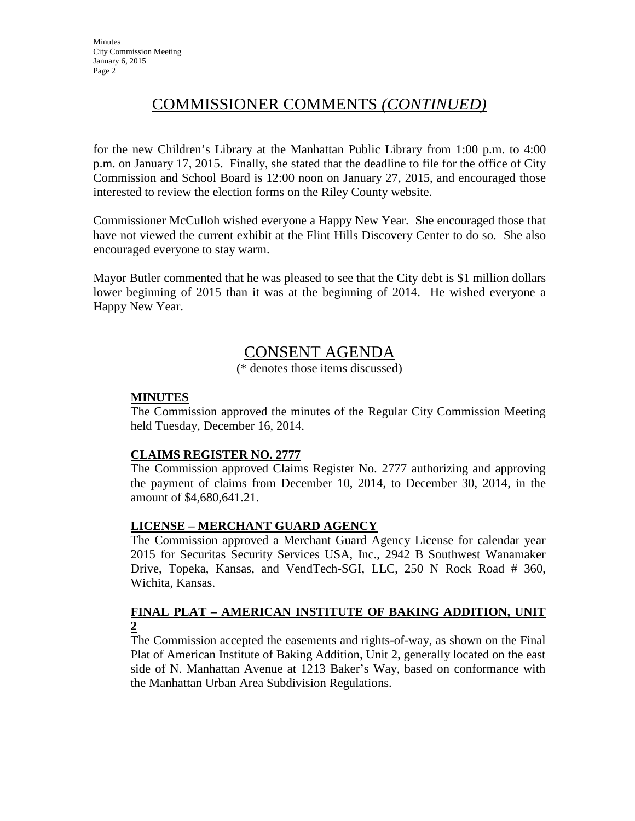# COMMISSIONER COMMENTS *(CONTINUED)*

for the new Children's Library at the Manhattan Public Library from 1:00 p.m. to 4:00 p.m. on January 17, 2015. Finally, she stated that the deadline to file for the office of City Commission and School Board is 12:00 noon on January 27, 2015, and encouraged those interested to review the election forms on the Riley County website.

Commissioner McCulloh wished everyone a Happy New Year. She encouraged those that have not viewed the current exhibit at the Flint Hills Discovery Center to do so. She also encouraged everyone to stay warm.

Mayor Butler commented that he was pleased to see that the City debt is \$1 million dollars lower beginning of 2015 than it was at the beginning of 2014. He wished everyone a Happy New Year.

# CONSENT AGENDA

(\* denotes those items discussed)

# **MINUTES**

The Commission approved the minutes of the Regular City Commission Meeting held Tuesday, December 16, 2014.

## **CLAIMS REGISTER NO. 2777**

The Commission approved Claims Register No. 2777 authorizing and approving the payment of claims from December 10, 2014, to December 30, 2014, in the amount of \$4,680,641.21.

## **LICENSE – MERCHANT GUARD AGENCY**

The Commission approved a Merchant Guard Agency License for calendar year 2015 for Securitas Security Services USA, Inc., 2942 B Southwest Wanamaker Drive, Topeka, Kansas, and VendTech-SGI, LLC, 250 N Rock Road # 360, Wichita, Kansas.

# **FINAL PLAT – AMERICAN INSTITUTE OF BAKING ADDITION, UNIT 2**

The Commission accepted the easements and rights-of-way, as shown on the Final Plat of American Institute of Baking Addition, Unit 2, generally located on the east side of N. Manhattan Avenue at 1213 Baker's Way, based on conformance with the Manhattan Urban Area Subdivision Regulations.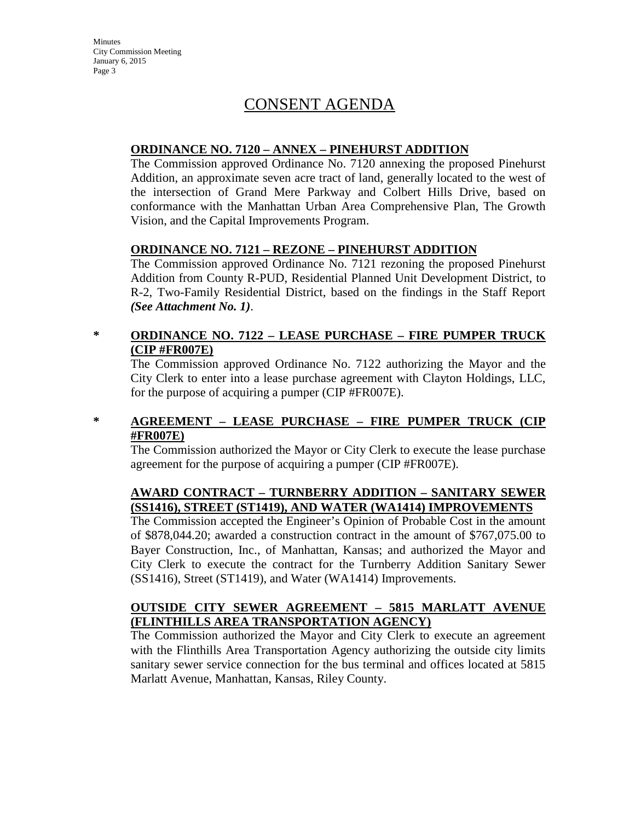# CONSENT AGENDA

## **ORDINANCE NO. 7120 – ANNEX – PINEHURST ADDITION**

The Commission approved Ordinance No. 7120 annexing the proposed Pinehurst Addition, an approximate seven acre tract of land, generally located to the west of the intersection of Grand Mere Parkway and Colbert Hills Drive, based on conformance with the Manhattan Urban Area Comprehensive Plan, The Growth Vision, and the Capital Improvements Program.

## **ORDINANCE NO. 7121 – REZONE – PINEHURST ADDITION**

The Commission approved Ordinance No. 7121 rezoning the proposed Pinehurst Addition from County R-PUD, Residential Planned Unit Development District, to R-2, Two-Family Residential District, based on the findings in the Staff Report *(See Attachment No. 1)*.

# **\* ORDINANCE NO. 7122 – LEASE PURCHASE – FIRE PUMPER TRUCK (CIP #FR007E)**

The Commission approved Ordinance No. 7122 authorizing the Mayor and the City Clerk to enter into a lease purchase agreement with Clayton Holdings, LLC, for the purpose of acquiring a pumper (CIP #FR007E).

## **\* AGREEMENT – LEASE PURCHASE – FIRE PUMPER TRUCK (CIP #FR007E)**

The Commission authorized the Mayor or City Clerk to execute the lease purchase agreement for the purpose of acquiring a pumper (CIP #FR007E).

# **AWARD CONTRACT – TURNBERRY ADDITION – SANITARY SEWER (SS1416), STREET (ST1419), AND WATER (WA1414) IMPROVEMENTS**

The Commission accepted the Engineer's Opinion of Probable Cost in the amount of \$878,044.20; awarded a construction contract in the amount of \$767,075.00 to Bayer Construction, Inc., of Manhattan, Kansas; and authorized the Mayor and City Clerk to execute the contract for the Turnberry Addition Sanitary Sewer (SS1416), Street (ST1419), and Water (WA1414) Improvements.

# **OUTSIDE CITY SEWER AGREEMENT – 5815 MARLATT AVENUE (FLINTHILLS AREA TRANSPORTATION AGENCY)**

The Commission authorized the Mayor and City Clerk to execute an agreement with the Flinthills Area Transportation Agency authorizing the outside city limits sanitary sewer service connection for the bus terminal and offices located at 5815 Marlatt Avenue, Manhattan, Kansas, Riley County.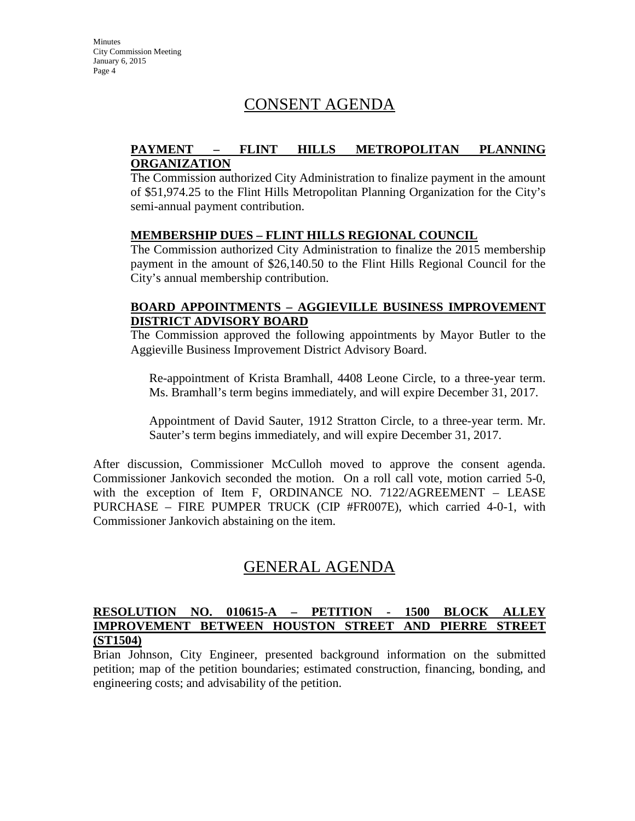# CONSENT AGENDA

## **PAYMENT – FLINT HILLS METROPOLITAN PLANNING ORGANIZATION**

The Commission authorized City Administration to finalize payment in the amount of \$51,974.25 to the Flint Hills Metropolitan Planning Organization for the City's semi-annual payment contribution.

### **MEMBERSHIP DUES – FLINT HILLS REGIONAL COUNCIL**

The Commission authorized City Administration to finalize the 2015 membership payment in the amount of \$26,140.50 to the Flint Hills Regional Council for the City's annual membership contribution.

### **BOARD APPOINTMENTS – AGGIEVILLE BUSINESS IMPROVEMENT DISTRICT ADVISORY BOARD**

The Commission approved the following appointments by Mayor Butler to the Aggieville Business Improvement District Advisory Board.

Re-appointment of Krista Bramhall, 4408 Leone Circle, to a three-year term. Ms. Bramhall's term begins immediately, and will expire December 31, 2017.

Appointment of David Sauter, 1912 Stratton Circle, to a three-year term. Mr. Sauter's term begins immediately, and will expire December 31, 2017.

After discussion, Commissioner McCulloh moved to approve the consent agenda. Commissioner Jankovich seconded the motion. On a roll call vote, motion carried 5-0, with the exception of Item F, ORDINANCE NO. 7122/AGREEMENT – LEASE PURCHASE – FIRE PUMPER TRUCK (CIP #FR007E), which carried 4-0-1, with Commissioner Jankovich abstaining on the item.

# GENERAL AGENDA

## **RESOLUTION NO. 010615-A – PETITION - 1500 BLOCK ALLEY IMPROVEMENT BETWEEN HOUSTON STREET AND PIERRE STREET (ST1504)**

Brian Johnson, City Engineer, presented background information on the submitted petition; map of the petition boundaries; estimated construction, financing, bonding, and engineering costs; and advisability of the petition.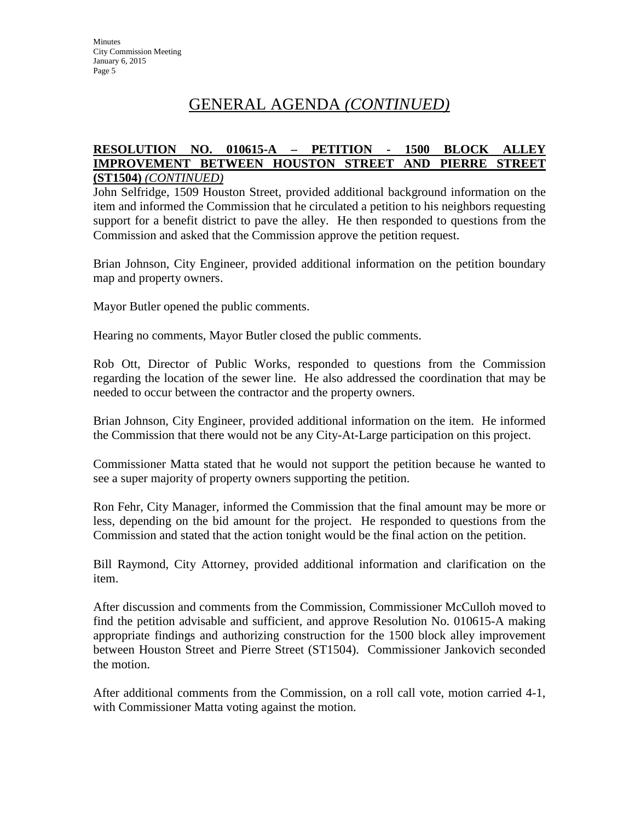# GENERAL AGENDA *(CONTINUED)*

### **RESOLUTION NO. 010615-A – PETITION - 1500 BLOCK ALLEY IMPROVEMENT BETWEEN HOUSTON STREET AND PIERRE STREET (ST1504)** *(CONTINUED)*

John Selfridge, 1509 Houston Street, provided additional background information on the item and informed the Commission that he circulated a petition to his neighbors requesting support for a benefit district to pave the alley. He then responded to questions from the Commission and asked that the Commission approve the petition request.

Brian Johnson, City Engineer, provided additional information on the petition boundary map and property owners.

Mayor Butler opened the public comments.

Hearing no comments, Mayor Butler closed the public comments.

Rob Ott, Director of Public Works, responded to questions from the Commission regarding the location of the sewer line. He also addressed the coordination that may be needed to occur between the contractor and the property owners.

Brian Johnson, City Engineer, provided additional information on the item. He informed the Commission that there would not be any City-At-Large participation on this project.

Commissioner Matta stated that he would not support the petition because he wanted to see a super majority of property owners supporting the petition.

Ron Fehr, City Manager, informed the Commission that the final amount may be more or less, depending on the bid amount for the project. He responded to questions from the Commission and stated that the action tonight would be the final action on the petition.

Bill Raymond, City Attorney, provided additional information and clarification on the item.

After discussion and comments from the Commission, Commissioner McCulloh moved to find the petition advisable and sufficient, and approve Resolution No. 010615-A making appropriate findings and authorizing construction for the 1500 block alley improvement between Houston Street and Pierre Street (ST1504). Commissioner Jankovich seconded the motion.

After additional comments from the Commission, on a roll call vote, motion carried 4-1, with Commissioner Matta voting against the motion.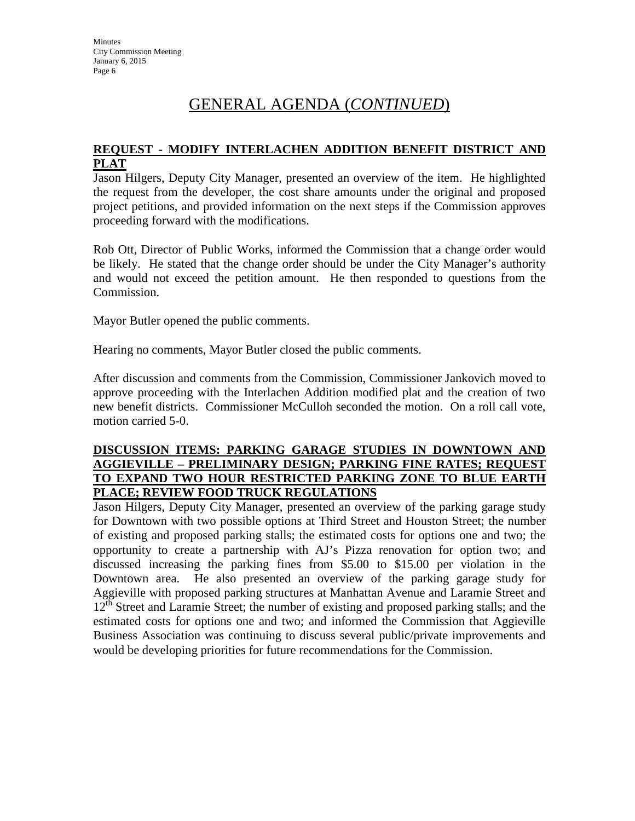# GENERAL AGENDA (*CONTINUED*)

## **REQUEST - MODIFY INTERLACHEN ADDITION BENEFIT DISTRICT AND PLAT**

Jason Hilgers, Deputy City Manager, presented an overview of the item. He highlighted the request from the developer, the cost share amounts under the original and proposed project petitions, and provided information on the next steps if the Commission approves proceeding forward with the modifications.

Rob Ott, Director of Public Works, informed the Commission that a change order would be likely. He stated that the change order should be under the City Manager's authority and would not exceed the petition amount. He then responded to questions from the Commission.

Mayor Butler opened the public comments.

Hearing no comments, Mayor Butler closed the public comments.

After discussion and comments from the Commission, Commissioner Jankovich moved to approve proceeding with the Interlachen Addition modified plat and the creation of two new benefit districts. Commissioner McCulloh seconded the motion. On a roll call vote, motion carried 5-0.

### **DISCUSSION ITEMS: PARKING GARAGE STUDIES IN DOWNTOWN AND AGGIEVILLE – PRELIMINARY DESIGN; PARKING FINE RATES; REQUEST TO EXPAND TWO HOUR RESTRICTED PARKING ZONE TO BLUE EARTH PLACE; REVIEW FOOD TRUCK REGULATIONS**

Jason Hilgers, Deputy City Manager, presented an overview of the parking garage study for Downtown with two possible options at Third Street and Houston Street; the number of existing and proposed parking stalls; the estimated costs for options one and two; the opportunity to create a partnership with AJ's Pizza renovation for option two; and discussed increasing the parking fines from \$5.00 to \$15.00 per violation in the Downtown area. He also presented an overview of the parking garage study for Aggieville with proposed parking structures at Manhattan Avenue and Laramie Street and 12<sup>th</sup> Street and Laramie Street; the number of existing and proposed parking stalls; and the estimated costs for options one and two; and informed the Commission that Aggieville Business Association was continuing to discuss several public/private improvements and would be developing priorities for future recommendations for the Commission.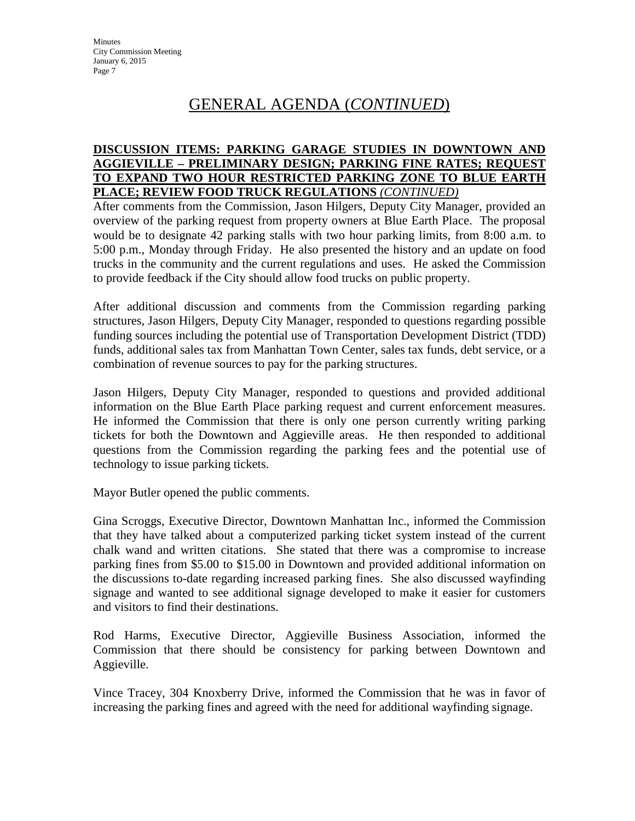# GENERAL AGENDA (*CONTINUED*)

### **DISCUSSION ITEMS: PARKING GARAGE STUDIES IN DOWNTOWN AND AGGIEVILLE – PRELIMINARY DESIGN; PARKING FINE RATES; REQUEST TO EXPAND TWO HOUR RESTRICTED PARKING ZONE TO BLUE EARTH PLACE; REVIEW FOOD TRUCK REGULATIONS** *(CONTINUED)*

After comments from the Commission, Jason Hilgers, Deputy City Manager, provided an overview of the parking request from property owners at Blue Earth Place. The proposal would be to designate 42 parking stalls with two hour parking limits, from 8:00 a.m. to 5:00 p.m., Monday through Friday. He also presented the history and an update on food trucks in the community and the current regulations and uses. He asked the Commission to provide feedback if the City should allow food trucks on public property.

After additional discussion and comments from the Commission regarding parking structures, Jason Hilgers, Deputy City Manager, responded to questions regarding possible funding sources including the potential use of Transportation Development District (TDD) funds, additional sales tax from Manhattan Town Center, sales tax funds, debt service, or a combination of revenue sources to pay for the parking structures.

Jason Hilgers, Deputy City Manager, responded to questions and provided additional information on the Blue Earth Place parking request and current enforcement measures. He informed the Commission that there is only one person currently writing parking tickets for both the Downtown and Aggieville areas. He then responded to additional questions from the Commission regarding the parking fees and the potential use of technology to issue parking tickets.

Mayor Butler opened the public comments.

Gina Scroggs, Executive Director, Downtown Manhattan Inc., informed the Commission that they have talked about a computerized parking ticket system instead of the current chalk wand and written citations. She stated that there was a compromise to increase parking fines from \$5.00 to \$15.00 in Downtown and provided additional information on the discussions to-date regarding increased parking fines. She also discussed wayfinding signage and wanted to see additional signage developed to make it easier for customers and visitors to find their destinations.

Rod Harms, Executive Director, Aggieville Business Association, informed the Commission that there should be consistency for parking between Downtown and Aggieville.

Vince Tracey, 304 Knoxberry Drive, informed the Commission that he was in favor of increasing the parking fines and agreed with the need for additional wayfinding signage.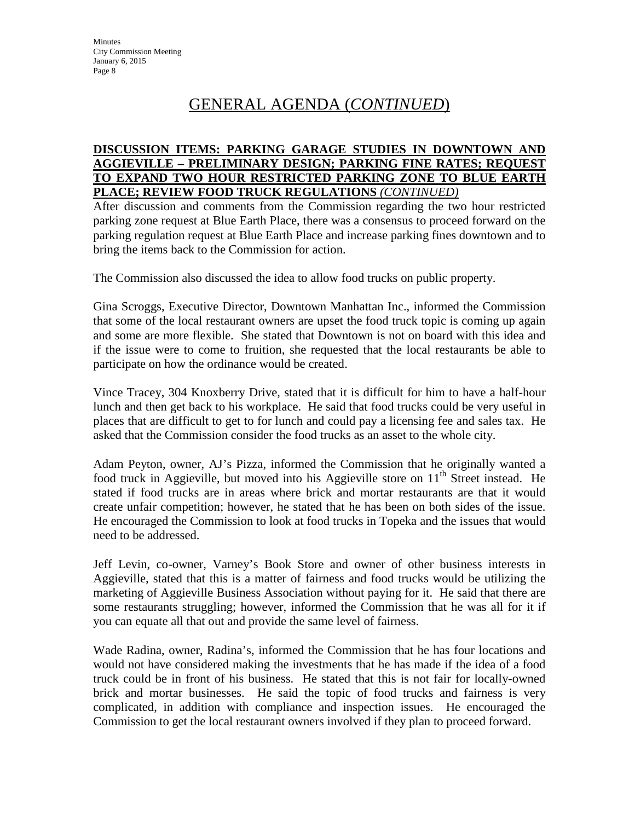# GENERAL AGENDA (*CONTINUED*)

### **DISCUSSION ITEMS: PARKING GARAGE STUDIES IN DOWNTOWN AND AGGIEVILLE – PRELIMINARY DESIGN; PARKING FINE RATES; REQUEST TO EXPAND TWO HOUR RESTRICTED PARKING ZONE TO BLUE EARTH PLACE; REVIEW FOOD TRUCK REGULATIONS** *(CONTINUED)*

After discussion and comments from the Commission regarding the two hour restricted parking zone request at Blue Earth Place, there was a consensus to proceed forward on the parking regulation request at Blue Earth Place and increase parking fines downtown and to bring the items back to the Commission for action.

The Commission also discussed the idea to allow food trucks on public property.

Gina Scroggs, Executive Director, Downtown Manhattan Inc., informed the Commission that some of the local restaurant owners are upset the food truck topic is coming up again and some are more flexible. She stated that Downtown is not on board with this idea and if the issue were to come to fruition, she requested that the local restaurants be able to participate on how the ordinance would be created.

Vince Tracey, 304 Knoxberry Drive, stated that it is difficult for him to have a half-hour lunch and then get back to his workplace. He said that food trucks could be very useful in places that are difficult to get to for lunch and could pay a licensing fee and sales tax. He asked that the Commission consider the food trucks as an asset to the whole city.

Adam Peyton, owner, AJ's Pizza, informed the Commission that he originally wanted a food truck in Aggieville, but moved into his Aggieville store on  $11<sup>th</sup>$  Street instead. He stated if food trucks are in areas where brick and mortar restaurants are that it would create unfair competition; however, he stated that he has been on both sides of the issue. He encouraged the Commission to look at food trucks in Topeka and the issues that would need to be addressed.

Jeff Levin, co-owner, Varney's Book Store and owner of other business interests in Aggieville, stated that this is a matter of fairness and food trucks would be utilizing the marketing of Aggieville Business Association without paying for it. He said that there are some restaurants struggling; however, informed the Commission that he was all for it if you can equate all that out and provide the same level of fairness.

Wade Radina, owner, Radina's, informed the Commission that he has four locations and would not have considered making the investments that he has made if the idea of a food truck could be in front of his business. He stated that this is not fair for locally-owned brick and mortar businesses. He said the topic of food trucks and fairness is very complicated, in addition with compliance and inspection issues. He encouraged the Commission to get the local restaurant owners involved if they plan to proceed forward.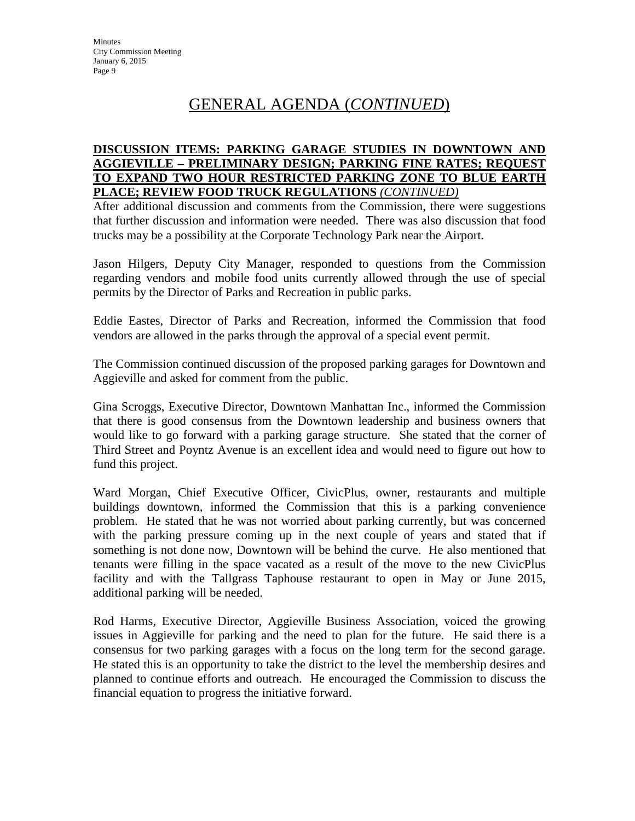# GENERAL AGENDA (*CONTINUED*)

### **DISCUSSION ITEMS: PARKING GARAGE STUDIES IN DOWNTOWN AND AGGIEVILLE – PRELIMINARY DESIGN; PARKING FINE RATES; REQUEST TO EXPAND TWO HOUR RESTRICTED PARKING ZONE TO BLUE EARTH PLACE; REVIEW FOOD TRUCK REGULATIONS** *(CONTINUED)*

After additional discussion and comments from the Commission, there were suggestions that further discussion and information were needed. There was also discussion that food trucks may be a possibility at the Corporate Technology Park near the Airport.

Jason Hilgers, Deputy City Manager, responded to questions from the Commission regarding vendors and mobile food units currently allowed through the use of special permits by the Director of Parks and Recreation in public parks.

Eddie Eastes, Director of Parks and Recreation, informed the Commission that food vendors are allowed in the parks through the approval of a special event permit.

The Commission continued discussion of the proposed parking garages for Downtown and Aggieville and asked for comment from the public.

Gina Scroggs, Executive Director, Downtown Manhattan Inc., informed the Commission that there is good consensus from the Downtown leadership and business owners that would like to go forward with a parking garage structure. She stated that the corner of Third Street and Poyntz Avenue is an excellent idea and would need to figure out how to fund this project.

Ward Morgan, Chief Executive Officer, CivicPlus, owner, restaurants and multiple buildings downtown, informed the Commission that this is a parking convenience problem. He stated that he was not worried about parking currently, but was concerned with the parking pressure coming up in the next couple of years and stated that if something is not done now, Downtown will be behind the curve. He also mentioned that tenants were filling in the space vacated as a result of the move to the new CivicPlus facility and with the Tallgrass Taphouse restaurant to open in May or June 2015, additional parking will be needed.

Rod Harms, Executive Director, Aggieville Business Association, voiced the growing issues in Aggieville for parking and the need to plan for the future. He said there is a consensus for two parking garages with a focus on the long term for the second garage. He stated this is an opportunity to take the district to the level the membership desires and planned to continue efforts and outreach. He encouraged the Commission to discuss the financial equation to progress the initiative forward.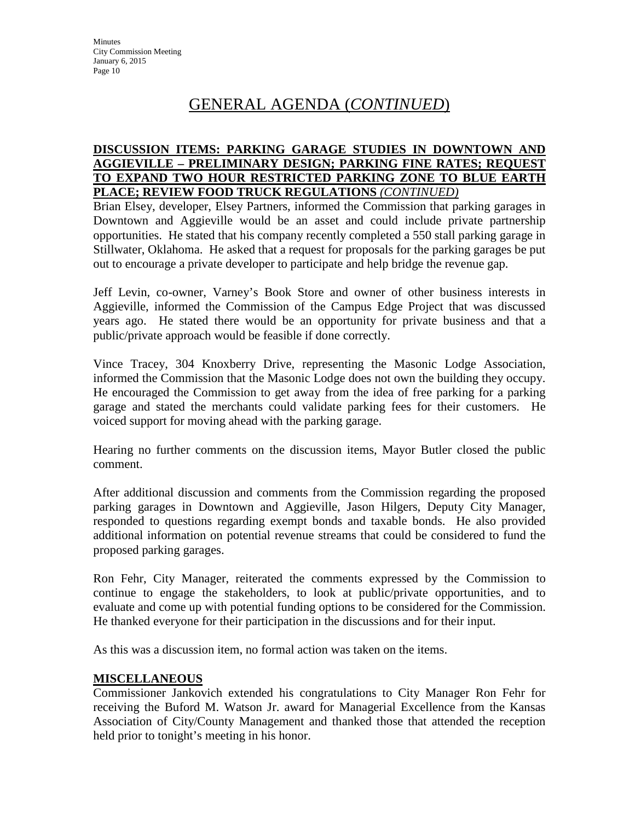# GENERAL AGENDA (*CONTINUED*)

### **DISCUSSION ITEMS: PARKING GARAGE STUDIES IN DOWNTOWN AND AGGIEVILLE – PRELIMINARY DESIGN; PARKING FINE RATES; REQUEST TO EXPAND TWO HOUR RESTRICTED PARKING ZONE TO BLUE EARTH PLACE; REVIEW FOOD TRUCK REGULATIONS** *(CONTINUED)*

Brian Elsey, developer, Elsey Partners, informed the Commission that parking garages in Downtown and Aggieville would be an asset and could include private partnership opportunities. He stated that his company recently completed a 550 stall parking garage in Stillwater, Oklahoma. He asked that a request for proposals for the parking garages be put out to encourage a private developer to participate and help bridge the revenue gap.

Jeff Levin, co-owner, Varney's Book Store and owner of other business interests in Aggieville, informed the Commission of the Campus Edge Project that was discussed years ago. He stated there would be an opportunity for private business and that a public/private approach would be feasible if done correctly.

Vince Tracey, 304 Knoxberry Drive, representing the Masonic Lodge Association, informed the Commission that the Masonic Lodge does not own the building they occupy. He encouraged the Commission to get away from the idea of free parking for a parking garage and stated the merchants could validate parking fees for their customers. He voiced support for moving ahead with the parking garage.

Hearing no further comments on the discussion items, Mayor Butler closed the public comment.

After additional discussion and comments from the Commission regarding the proposed parking garages in Downtown and Aggieville, Jason Hilgers, Deputy City Manager, responded to questions regarding exempt bonds and taxable bonds. He also provided additional information on potential revenue streams that could be considered to fund the proposed parking garages.

Ron Fehr, City Manager, reiterated the comments expressed by the Commission to continue to engage the stakeholders, to look at public/private opportunities, and to evaluate and come up with potential funding options to be considered for the Commission. He thanked everyone for their participation in the discussions and for their input.

As this was a discussion item, no formal action was taken on the items.

## **MISCELLANEOUS**

Commissioner Jankovich extended his congratulations to City Manager Ron Fehr for receiving the Buford M. Watson Jr. award for Managerial Excellence from the Kansas Association of City/County Management and thanked those that attended the reception held prior to tonight's meeting in his honor.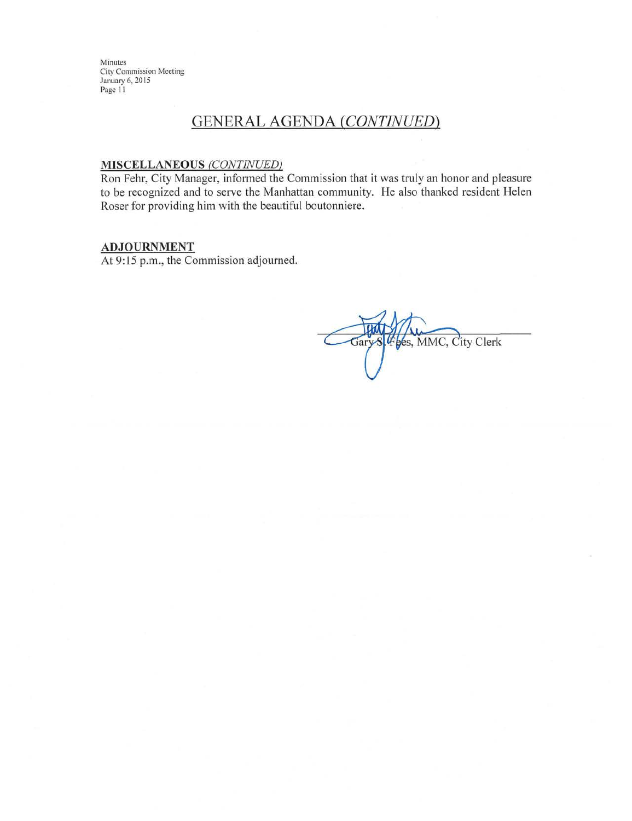# **GENERAL AGENDA (CONTINUED)**

#### **MISCELLANEOUS (CONTINUED)**

Ron Fehr, City Manager, informed the Commission that it was truly an honor and pleasure to be recognized and to serve the Manhattan community. He also thanked resident Helen Roser for providing him with the beautiful boutonniere.

### **ADJOURNMENT**

At 9:15 p.m., the Commission adjourned.

4 bes, MMC, City Clerk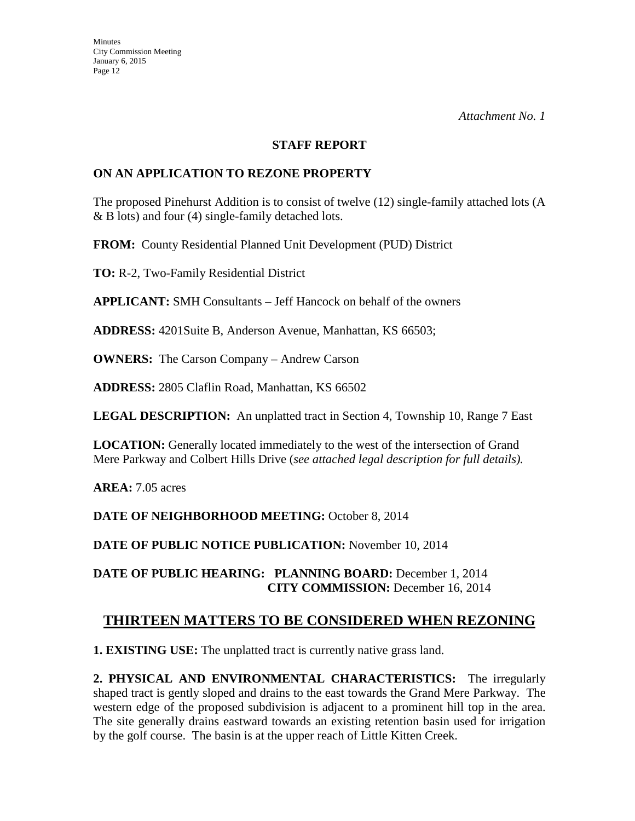#### **STAFF REPORT**

### **ON AN APPLICATION TO REZONE PROPERTY**

The proposed Pinehurst Addition is to consist of twelve (12) single-family attached lots (A & B lots) and four (4) single-family detached lots.

**FROM:** County Residential Planned Unit Development (PUD) District

**TO:** R-2, Two-Family Residential District

**APPLICANT:** SMH Consultants – Jeff Hancock on behalf of the owners

**ADDRESS:** 4201Suite B, Anderson Avenue, Manhattan, KS 66503;

**OWNERS:** The Carson Company – Andrew Carson

**ADDRESS:** 2805 Claflin Road, Manhattan, KS 66502

**LEGAL DESCRIPTION:** An unplatted tract in Section 4, Township 10, Range 7 East

**LOCATION:** Generally located immediately to the west of the intersection of Grand Mere Parkway and Colbert Hills Drive (*see attached legal description for full details).* 

**AREA:** 7.05 acres

**DATE OF NEIGHBORHOOD MEETING:** October 8, 2014

**DATE OF PUBLIC NOTICE PUBLICATION:** November 10, 2014

**DATE OF PUBLIC HEARING: PLANNING BOARD:** December 1, 2014 **CITY COMMISSION:** December 16, 2014

# **THIRTEEN MATTERS TO BE CONSIDERED WHEN REZONING**

**1. EXISTING USE:** The unplatted tract is currently native grass land.

**2. PHYSICAL AND ENVIRONMENTAL CHARACTERISTICS:** The irregularly shaped tract is gently sloped and drains to the east towards the Grand Mere Parkway. The western edge of the proposed subdivision is adjacent to a prominent hill top in the area. The site generally drains eastward towards an existing retention basin used for irrigation by the golf course. The basin is at the upper reach of Little Kitten Creek.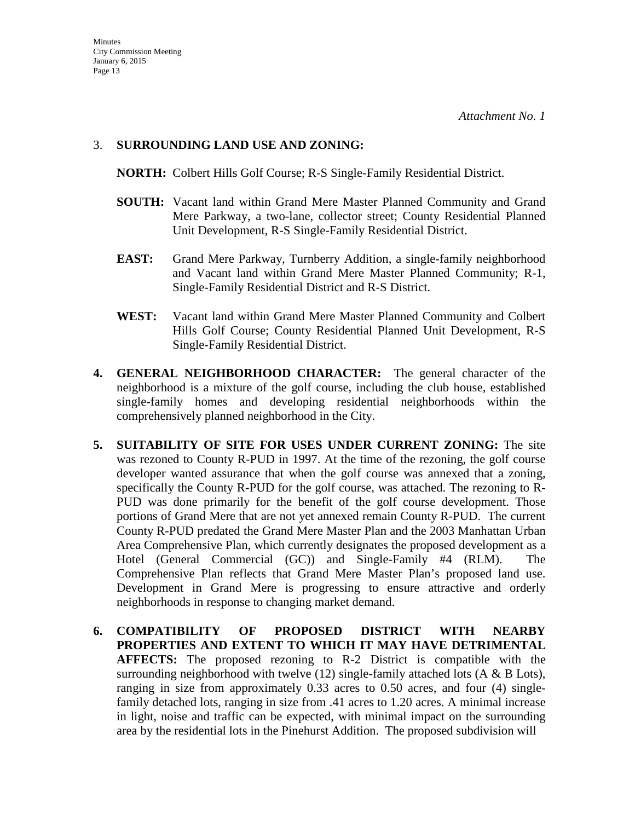### 3. **SURROUNDING LAND USE AND ZONING:**

**NORTH:** Colbert Hills Golf Course; R-S Single-Family Residential District.

- **SOUTH:** Vacant land within Grand Mere Master Planned Community and Grand Mere Parkway, a two-lane, collector street; County Residential Planned Unit Development, R-S Single-Family Residential District.
- **EAST:** Grand Mere Parkway, Turnberry Addition, a single-family neighborhood and Vacant land within Grand Mere Master Planned Community; R-1, Single-Family Residential District and R-S District.
- **WEST:** Vacant land within Grand Mere Master Planned Community and Colbert Hills Golf Course; County Residential Planned Unit Development, R-S Single-Family Residential District.
- **4. GENERAL NEIGHBORHOOD CHARACTER:** The general character of the neighborhood is a mixture of the golf course, including the club house, established single-family homes and developing residential neighborhoods within the comprehensively planned neighborhood in the City.
- **5. SUITABILITY OF SITE FOR USES UNDER CURRENT ZONING:** The site was rezoned to County R-PUD in 1997. At the time of the rezoning, the golf course developer wanted assurance that when the golf course was annexed that a zoning, specifically the County R-PUD for the golf course, was attached. The rezoning to R-PUD was done primarily for the benefit of the golf course development. Those portions of Grand Mere that are not yet annexed remain County R-PUD. The current County R-PUD predated the Grand Mere Master Plan and the 2003 Manhattan Urban Area Comprehensive Plan, which currently designates the proposed development as a Hotel (General Commercial (GC)) and Single-Family #4 (RLM). The Comprehensive Plan reflects that Grand Mere Master Plan's proposed land use. Development in Grand Mere is progressing to ensure attractive and orderly neighborhoods in response to changing market demand.
- **6. COMPATIBILITY OF PROPOSED DISTRICT WITH NEARBY PROPERTIES AND EXTENT TO WHICH IT MAY HAVE DETRIMENTAL AFFECTS:** The proposed rezoning to R-2 District is compatible with the surrounding neighborhood with twelve  $(12)$  single-family attached lots  $(A \& B \text{;} \text{Lots}),$ ranging in size from approximately 0.33 acres to 0.50 acres, and four (4) singlefamily detached lots, ranging in size from .41 acres to 1.20 acres. A minimal increase in light, noise and traffic can be expected, with minimal impact on the surrounding area by the residential lots in the Pinehurst Addition. The proposed subdivision will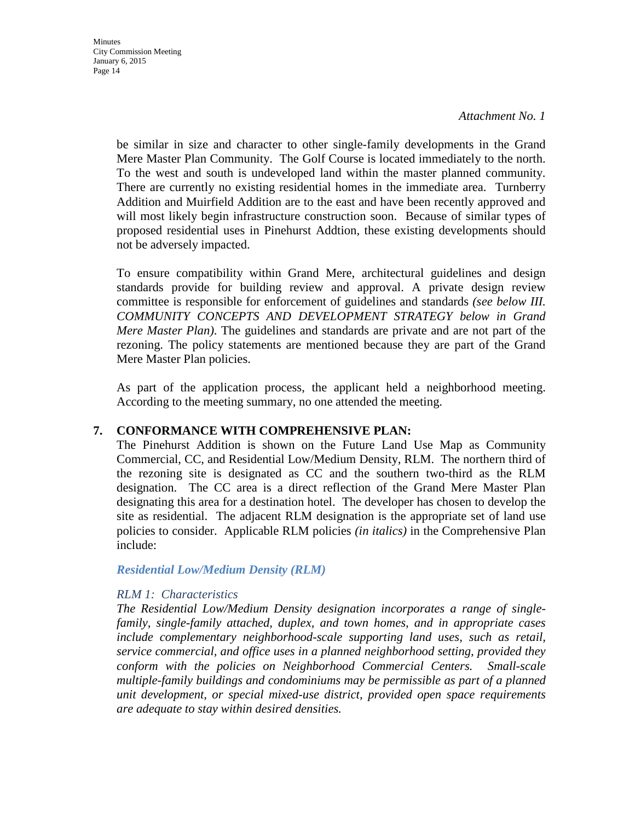be similar in size and character to other single-family developments in the Grand Mere Master Plan Community. The Golf Course is located immediately to the north. To the west and south is undeveloped land within the master planned community. There are currently no existing residential homes in the immediate area. Turnberry Addition and Muirfield Addition are to the east and have been recently approved and will most likely begin infrastructure construction soon. Because of similar types of proposed residential uses in Pinehurst Addtion, these existing developments should not be adversely impacted.

To ensure compatibility within Grand Mere, architectural guidelines and design standards provide for building review and approval. A private design review committee is responsible for enforcement of guidelines and standards *(see below III. COMMUNITY CONCEPTS AND DEVELOPMENT STRATEGY below in Grand Mere Master Plan)*. The guidelines and standards are private and are not part of the rezoning. The policy statements are mentioned because they are part of the Grand Mere Master Plan policies.

As part of the application process, the applicant held a neighborhood meeting. According to the meeting summary, no one attended the meeting.

## **7. CONFORMANCE WITH COMPREHENSIVE PLAN:**

The Pinehurst Addition is shown on the Future Land Use Map as Community Commercial, CC, and Residential Low/Medium Density, RLM. The northern third of the rezoning site is designated as CC and the southern two-third as the RLM designation. The CC area is a direct reflection of the Grand Mere Master Plan designating this area for a destination hotel. The developer has chosen to develop the site as residential. The adjacent RLM designation is the appropriate set of land use policies to consider. Applicable RLM policies *(in italics)* in the Comprehensive Plan include:

### *Residential Low/Medium Density (RLM)*

### *RLM 1: Characteristics*

*The Residential Low/Medium Density designation incorporates a range of singlefamily, single-family attached, duplex, and town homes, and in appropriate cases include complementary neighborhood-scale supporting land uses, such as retail, service commercial, and office uses in a planned neighborhood setting, provided they conform with the policies on Neighborhood Commercial Centers. Small-scale multiple-family buildings and condominiums may be permissible as part of a planned unit development, or special mixed-use district, provided open space requirements are adequate to stay within desired densities.*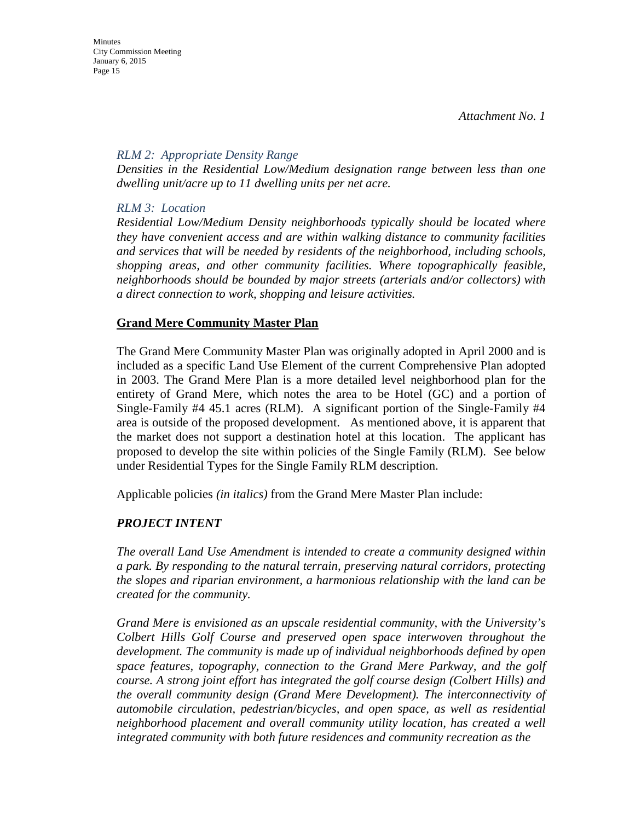**Minutes** City Commission Meeting January 6, 2015 Page 15

#### *RLM 2: Appropriate Density Range*

*Densities in the Residential Low/Medium designation range between less than one dwelling unit/acre up to 11 dwelling units per net acre.* 

### *RLM 3: Location*

*Residential Low/Medium Density neighborhoods typically should be located where they have convenient access and are within walking distance to community facilities and services that will be needed by residents of the neighborhood, including schools, shopping areas, and other community facilities. Where topographically feasible, neighborhoods should be bounded by major streets (arterials and/or collectors) with a direct connection to work, shopping and leisure activities.* 

### **Grand Mere Community Master Plan**

The Grand Mere Community Master Plan was originally adopted in April 2000 and is included as a specific Land Use Element of the current Comprehensive Plan adopted in 2003. The Grand Mere Plan is a more detailed level neighborhood plan for the entirety of Grand Mere, which notes the area to be Hotel (GC) and a portion of Single-Family #4 45.1 acres (RLM). A significant portion of the Single-Family #4 area is outside of the proposed development. As mentioned above, it is apparent that the market does not support a destination hotel at this location. The applicant has proposed to develop the site within policies of the Single Family (RLM). See below under Residential Types for the Single Family RLM description.

Applicable policies *(in italics)* from the Grand Mere Master Plan include:

## *PROJECT INTENT*

*The overall Land Use Amendment is intended to create a community designed within a park. By responding to the natural terrain, preserving natural corridors, protecting the slopes and riparian environment, a harmonious relationship with the land can be created for the community.* 

*Grand Mere is envisioned as an upscale residential community, with the University's Colbert Hills Golf Course and preserved open space interwoven throughout the development. The community is made up of individual neighborhoods defined by open space features, topography, connection to the Grand Mere Parkway, and the golf course. A strong joint effort has integrated the golf course design (Colbert Hills) and the overall community design (Grand Mere Development). The interconnectivity of automobile circulation, pedestrian/bicycles, and open space, as well as residential neighborhood placement and overall community utility location, has created a well integrated community with both future residences and community recreation as the*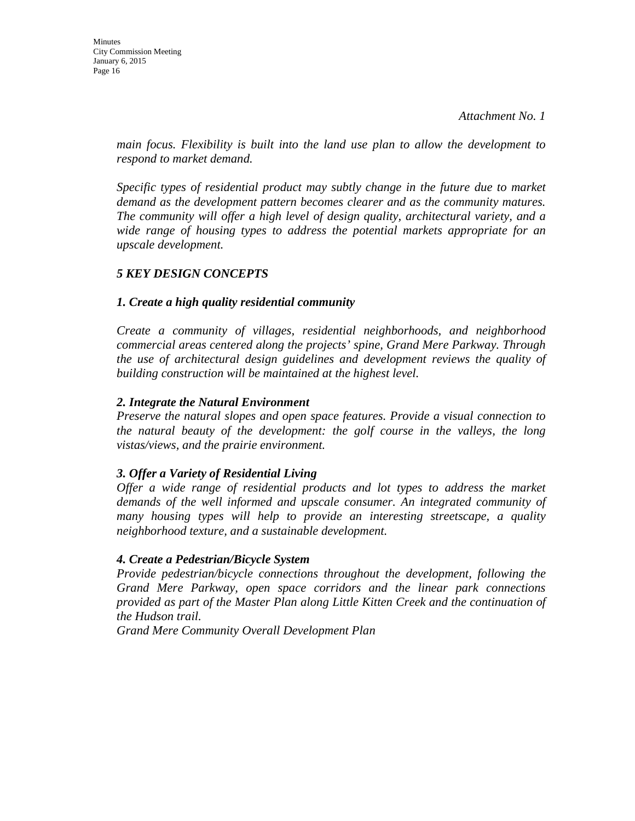*main focus. Flexibility is built into the land use plan to allow the development to respond to market demand.* 

*Specific types of residential product may subtly change in the future due to market demand as the development pattern becomes clearer and as the community matures. The community will offer a high level of design quality, architectural variety, and a wide range of housing types to address the potential markets appropriate for an upscale development.* 

# *5 KEY DESIGN CONCEPTS*

## *1. Create a high quality residential community*

*Create a community of villages, residential neighborhoods, and neighborhood commercial areas centered along the projects' spine, Grand Mere Parkway. Through the use of architectural design guidelines and development reviews the quality of building construction will be maintained at the highest level.* 

### *2. Integrate the Natural Environment*

*Preserve the natural slopes and open space features. Provide a visual connection to the natural beauty of the development: the golf course in the valleys, the long vistas/views, and the prairie environment.* 

## *3. Offer a Variety of Residential Living*

*Offer a wide range of residential products and lot types to address the market demands of the well informed and upscale consumer. An integrated community of many housing types will help to provide an interesting streetscape, a quality neighborhood texture, and a sustainable development.* 

### *4. Create a Pedestrian/Bicycle System*

*Provide pedestrian/bicycle connections throughout the development, following the Grand Mere Parkway, open space corridors and the linear park connections provided as part of the Master Plan along Little Kitten Creek and the continuation of the Hudson trail.* 

*Grand Mere Community Overall Development Plan*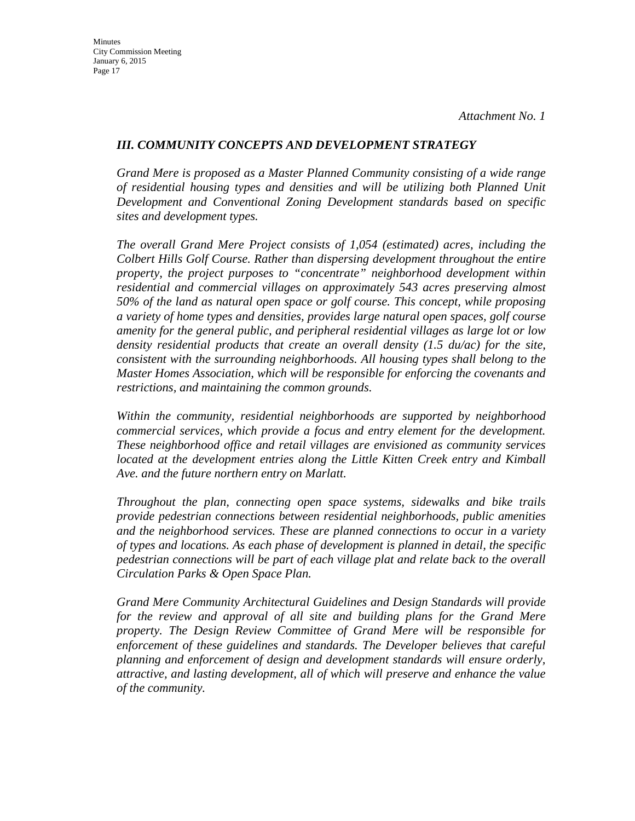### *III. COMMUNITY CONCEPTS AND DEVELOPMENT STRATEGY*

*Grand Mere is proposed as a Master Planned Community consisting of a wide range of residential housing types and densities and will be utilizing both Planned Unit Development and Conventional Zoning Development standards based on specific sites and development types.* 

*The overall Grand Mere Project consists of 1,054 (estimated) acres, including the Colbert Hills Golf Course. Rather than dispersing development throughout the entire property, the project purposes to "concentrate" neighborhood development within residential and commercial villages on approximately 543 acres preserving almost 50% of the land as natural open space or golf course. This concept, while proposing a variety of home types and densities, provides large natural open spaces, golf course amenity for the general public, and peripheral residential villages as large lot or low density residential products that create an overall density (1.5 du/ac) for the site, consistent with the surrounding neighborhoods. All housing types shall belong to the Master Homes Association, which will be responsible for enforcing the covenants and restrictions, and maintaining the common grounds.* 

*Within the community, residential neighborhoods are supported by neighborhood commercial services, which provide a focus and entry element for the development. These neighborhood office and retail villages are envisioned as community services located at the development entries along the Little Kitten Creek entry and Kimball Ave. and the future northern entry on Marlatt.* 

*Throughout the plan, connecting open space systems, sidewalks and bike trails provide pedestrian connections between residential neighborhoods, public amenities and the neighborhood services. These are planned connections to occur in a variety of types and locations. As each phase of development is planned in detail, the specific pedestrian connections will be part of each village plat and relate back to the overall Circulation Parks & Open Space Plan.* 

*Grand Mere Community Architectural Guidelines and Design Standards will provide for the review and approval of all site and building plans for the Grand Mere property. The Design Review Committee of Grand Mere will be responsible for enforcement of these guidelines and standards. The Developer believes that careful planning and enforcement of design and development standards will ensure orderly, attractive, and lasting development, all of which will preserve and enhance the value of the community.*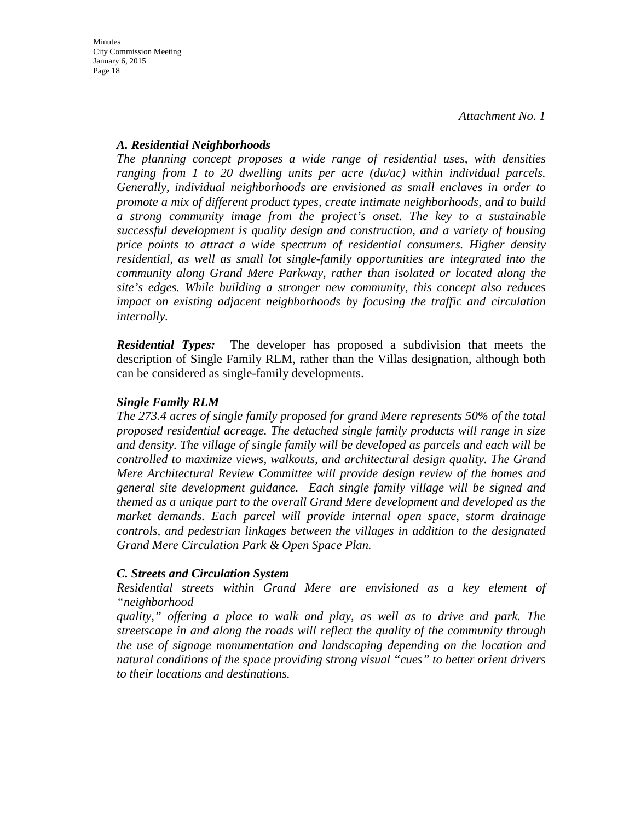### *A. Residential Neighborhoods*

*The planning concept proposes a wide range of residential uses, with densities ranging from 1 to 20 dwelling units per acre (du/ac) within individual parcels. Generally, individual neighborhoods are envisioned as small enclaves in order to promote a mix of different product types, create intimate neighborhoods, and to build a strong community image from the project's onset. The key to a sustainable successful development is quality design and construction, and a variety of housing price points to attract a wide spectrum of residential consumers. Higher density residential, as well as small lot single-family opportunities are integrated into the community along Grand Mere Parkway, rather than isolated or located along the site's edges. While building a stronger new community, this concept also reduces impact on existing adjacent neighborhoods by focusing the traffic and circulation internally.*

*Residential Types:* The developer has proposed a subdivision that meets the description of Single Family RLM, rather than the Villas designation, although both can be considered as single-family developments.

### *Single Family RLM*

*The 273.4 acres of single family proposed for grand Mere represents 50% of the total proposed residential acreage. The detached single family products will range in size and density. The village of single family will be developed as parcels and each will be controlled to maximize views, walkouts, and architectural design quality. The Grand Mere Architectural Review Committee will provide design review of the homes and general site development guidance. Each single family village will be signed and themed as a unique part to the overall Grand Mere development and developed as the market demands. Each parcel will provide internal open space, storm drainage controls, and pedestrian linkages between the villages in addition to the designated Grand Mere Circulation Park & Open Space Plan.* 

### *C. Streets and Circulation System*

*Residential streets within Grand Mere are envisioned as a key element of "neighborhood* 

*quality," offering a place to walk and play, as well as to drive and park. The streetscape in and along the roads will reflect the quality of the community through the use of signage monumentation and landscaping depending on the location and natural conditions of the space providing strong visual "cues" to better orient drivers to their locations and destinations.*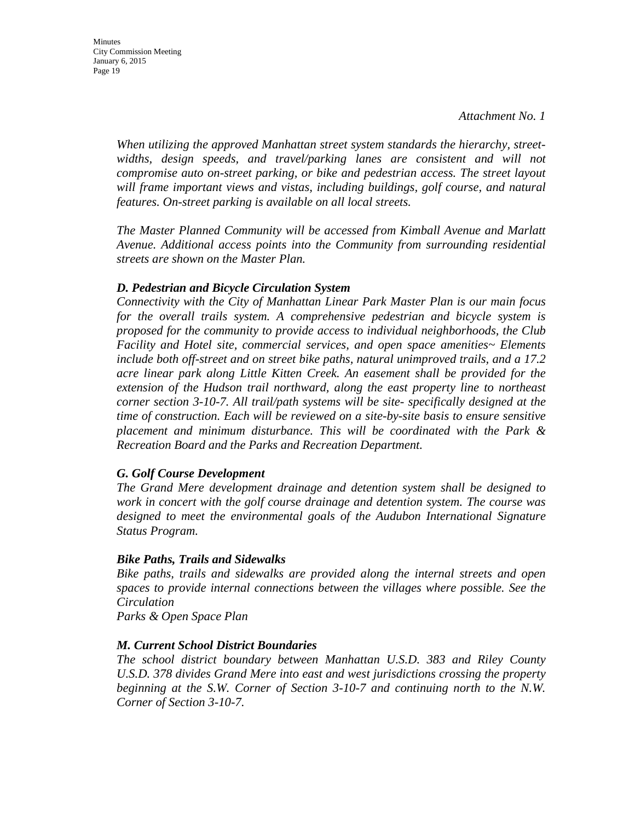*When utilizing the approved Manhattan street system standards the hierarchy, streetwidths, design speeds, and travel/parking lanes are consistent and will not compromise auto on-street parking, or bike and pedestrian access. The street layout will frame important views and vistas, including buildings, golf course, and natural features. On-street parking is available on all local streets.* 

*The Master Planned Community will be accessed from Kimball Avenue and Marlatt Avenue. Additional access points into the Community from surrounding residential streets are shown on the Master Plan.* 

### *D. Pedestrian and Bicycle Circulation System*

*Connectivity with the City of Manhattan Linear Park Master Plan is our main focus for the overall trails system. A comprehensive pedestrian and bicycle system is proposed for the community to provide access to individual neighborhoods, the Club Facility and Hotel site, commercial services, and open space amenities~ Elements include both off-street and on street bike paths, natural unimproved trails, and a 17.2 acre linear park along Little Kitten Creek. An easement shall be provided for the extension of the Hudson trail northward, along the east property line to northeast corner section 3-10-7. All trail/path systems will be site- specifically designed at the time of construction. Each will be reviewed on a site-by-site basis to ensure sensitive placement and minimum disturbance. This will be coordinated with the Park & Recreation Board and the Parks and Recreation Department.* 

### *G. Golf Course Development*

*The Grand Mere development drainage and detention system shall be designed to work in concert with the golf course drainage and detention system. The course was designed to meet the environmental goals of the Audubon International Signature Status Program.* 

#### *Bike Paths, Trails and Sidewalks*

*Bike paths, trails and sidewalks are provided along the internal streets and open spaces to provide internal connections between the villages where possible. See the Circulation*

*Parks & Open Space Plan* 

#### *M. Current School District Boundaries*

*The school district boundary between Manhattan U.S.D. 383 and Riley County U.S.D. 378 divides Grand Mere into east and west jurisdictions crossing the property beginning at the S.W. Corner of Section 3-10-7 and continuing north to the N.W. Corner of Section 3-10-7.*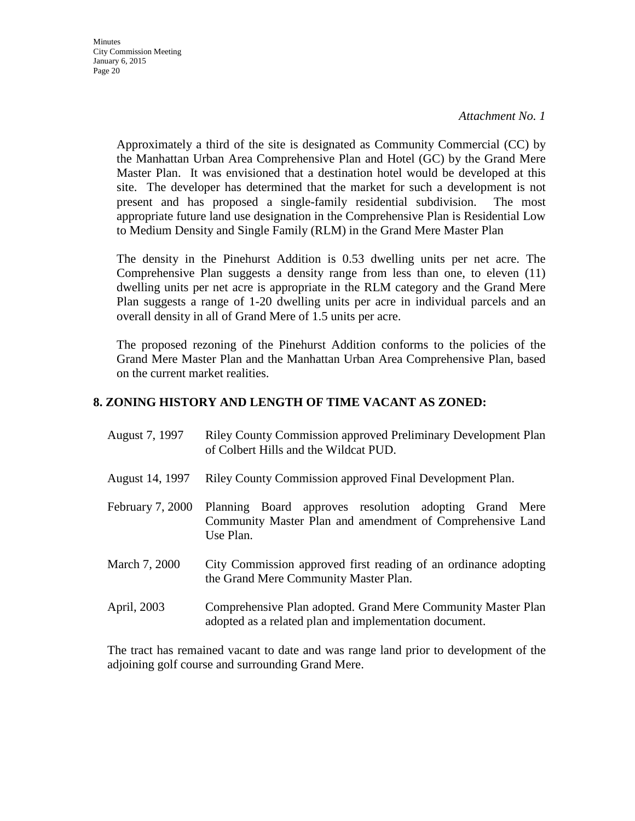*Attachment No. 1*

Approximately a third of the site is designated as Community Commercial (CC) by the Manhattan Urban Area Comprehensive Plan and Hotel (GC) by the Grand Mere Master Plan. It was envisioned that a destination hotel would be developed at this site. The developer has determined that the market for such a development is not present and has proposed a single-family residential subdivision. The most appropriate future land use designation in the Comprehensive Plan is Residential Low to Medium Density and Single Family (RLM) in the Grand Mere Master Plan

The density in the Pinehurst Addition is 0.53 dwelling units per net acre. The Comprehensive Plan suggests a density range from less than one, to eleven (11) dwelling units per net acre is appropriate in the RLM category and the Grand Mere Plan suggests a range of 1-20 dwelling units per acre in individual parcels and an overall density in all of Grand Mere of 1.5 units per acre.

The proposed rezoning of the Pinehurst Addition conforms to the policies of the Grand Mere Master Plan and the Manhattan Urban Area Comprehensive Plan, based on the current market realities.

### **8. ZONING HISTORY AND LENGTH OF TIME VACANT AS ZONED:**

| August 7, 1997 | <b>Riley County Commission approved Preliminary Development Plan</b> |
|----------------|----------------------------------------------------------------------|
|                | of Colbert Hills and the Wildcat PUD.                                |

- August 14, 1997 Riley County Commission approved Final Development Plan.
- February 7, 2000 Planning Board approves resolution adopting Grand Mere Community Master Plan and amendment of Comprehensive Land Use Plan.
- March 7, 2000 City Commission approved first reading of an ordinance adopting the Grand Mere Community Master Plan.
- April, 2003 Comprehensive Plan adopted. Grand Mere Community Master Plan adopted as a related plan and implementation document.

The tract has remained vacant to date and was range land prior to development of the adjoining golf course and surrounding Grand Mere.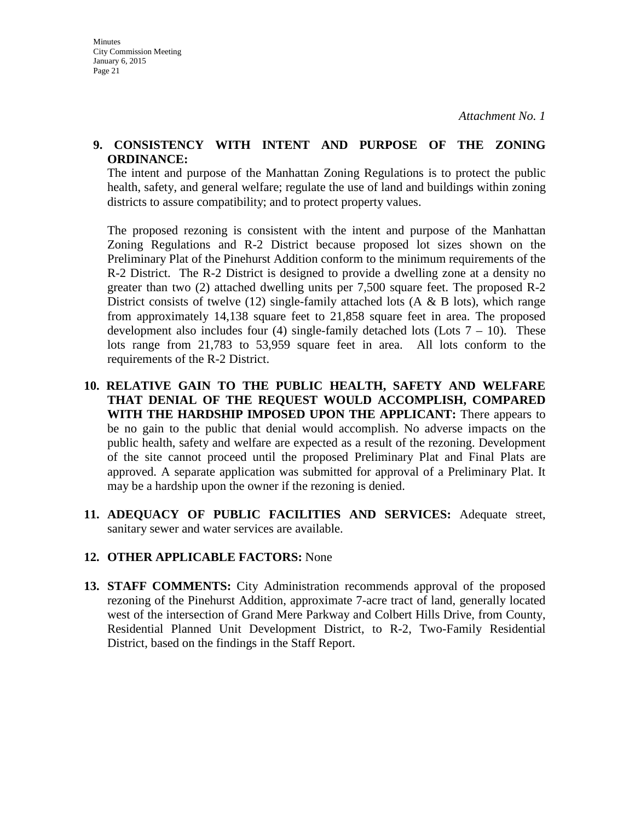### **9. CONSISTENCY WITH INTENT AND PURPOSE OF THE ZONING ORDINANCE:**

The intent and purpose of the Manhattan Zoning Regulations is to protect the public health, safety, and general welfare; regulate the use of land and buildings within zoning districts to assure compatibility; and to protect property values.

The proposed rezoning is consistent with the intent and purpose of the Manhattan Zoning Regulations and R-2 District because proposed lot sizes shown on the Preliminary Plat of the Pinehurst Addition conform to the minimum requirements of the R-2 District. The R-2 District is designed to provide a dwelling zone at a density no greater than two (2) attached dwelling units per 7,500 square feet. The proposed R-2 District consists of twelve (12) single-family attached lots (A  $\&$  B lots), which range from approximately 14,138 square feet to 21,858 square feet in area. The proposed development also includes four (4) single-family detached lots (Lots  $7 - 10$ ). These lots range from 21,783 to 53,959 square feet in area. All lots conform to the requirements of the R-2 District.

- **10. RELATIVE GAIN TO THE PUBLIC HEALTH, SAFETY AND WELFARE THAT DENIAL OF THE REQUEST WOULD ACCOMPLISH, COMPARED WITH THE HARDSHIP IMPOSED UPON THE APPLICANT:** There appears to be no gain to the public that denial would accomplish. No adverse impacts on the public health, safety and welfare are expected as a result of the rezoning. Development of the site cannot proceed until the proposed Preliminary Plat and Final Plats are approved. A separate application was submitted for approval of a Preliminary Plat. It may be a hardship upon the owner if the rezoning is denied.
- **11. ADEQUACY OF PUBLIC FACILITIES AND SERVICES:** Adequate street, sanitary sewer and water services are available.

## **12. OTHER APPLICABLE FACTORS:** None

**13. STAFF COMMENTS:** City Administration recommends approval of the proposed rezoning of the Pinehurst Addition, approximate 7-acre tract of land, generally located west of the intersection of Grand Mere Parkway and Colbert Hills Drive, from County, Residential Planned Unit Development District, to R-2, Two-Family Residential District, based on the findings in the Staff Report.